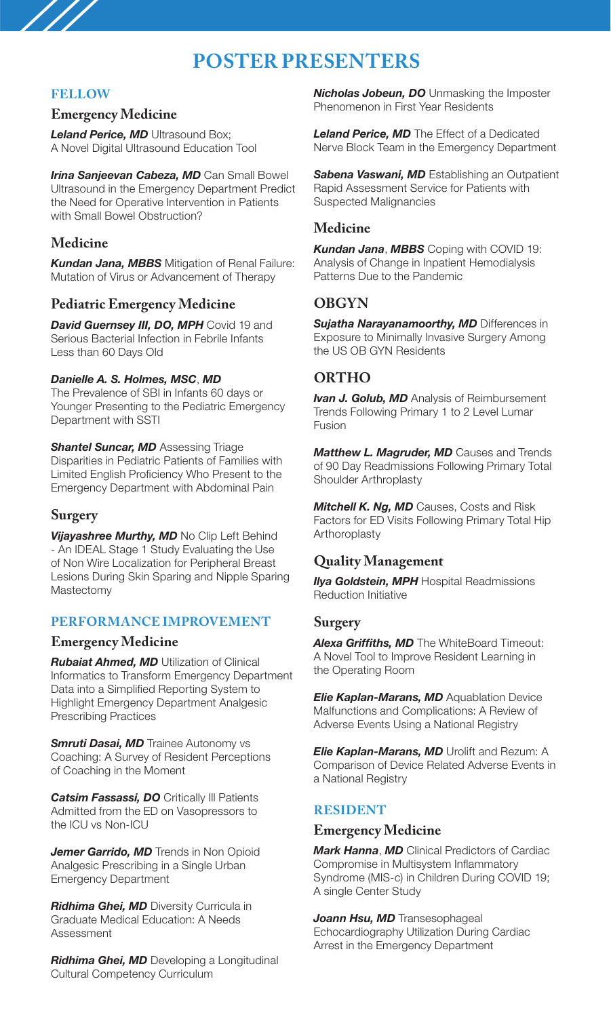# **POSTER PRESENTERS**

## **FELLOW**

 $\frac{1}{2}$ 

#### **Emergency Medicine**

*Leland Perice, MD Ultrasound Box;* A Novel Digital Ultrasound Education Tool

*Irina Sanjeevan Cabeza, MD* Can Small Bowel Ultrasound in the Emergency Department Predict the Need for Operative Intervention in Patients with Small Bowel Obstruction?

## **Medicine**

*Kundan Jana, MBBS* Mitigation of Renal Failure: Mutation of Virus or Advancement of Therapy

## **Pediatric Emergency Medicine**

**David Guernsey III, DO, MPH** Covid 19 and Serious Bacterial Infection in Febrile Infants Less than 60 Days Old

#### *Danielle A. S. Holmes, MSC*, *MD*

The Prevalence of SBI in Infants 60 days or Younger Presenting to the Pediatric Emergency Department with SSTI

**Shantel Suncar, MD** Assessing Triage Disparities in Pediatric Patients of Families with Limited English Proficiency Who Present to the Emergency Department with Abdominal Pain

# **Surgery**

*Vijayashree Murthy, MD* No Clip Left Behind - An IDEAL Stage 1 Study Evaluating the Use of Non Wire Localization for Peripheral Breast Lesions During Skin Sparing and Nipple Sparing Mastectomy

## **PERFORMANCE IMPROVEMENT**

## **Emergency Medicine**

*Rubaiat Ahmed, MD* Utilization of Clinical Informatics to Transform Emergency Department Data into a Simplified Reporting System to Highlight Emergency Department Analgesic Prescribing Practices

**Smruti Dasai, MD** Trainee Autonomy vs Coaching: A Survey of Resident Perceptions of Coaching in the Moment

*Catsim Fassassi, DO* Critically Ill Patients Admitted from the ED on Vasopressors to the ICU vs Non-ICU

*Jemer Garrido, MD* Trends in Non Opioid Analgesic Prescribing in a Single Urban Emergency Department

*Ridhima Ghei, MD* Diversity Curricula in Graduate Medical Education: A Needs Assessment

*Ridhima Ghei, MD* Developing a Longitudinal Cultural Competency Curriculum

*Nicholas Jobeun, DO* Unmasking the Imposter Phenomenon in First Year Residents

*Leland Perice, MD* The Effect of a Dedicated Nerve Block Team in the Emergency Department

*Sabena Vaswani, MD* Establishing an Outpatient Rapid Assessment Service for Patients with Suspected Malignancies

## **Medicine**

*Kundan Jana*, *MBBS* Coping with COVID 19: Analysis of Change in Inpatient Hemodialysis Patterns Due to the Pandemic

# **OBGYN**

*Sujatha Narayanamoorthy, MD* Differences in Exposure to Minimally Invasive Surgery Among the US OB GYN Residents

# **ORTHO**

*Ivan J. Golub, MD* Analysis of Reimbursement Trends Following Primary 1 to 2 Level Lumar Fusion

*Matthew L. Magruder, MD* Causes and Trends of 90 Day Readmissions Following Primary Total Shoulder Arthroplasty

*Mitchell K. Ng, MD* Causes, Costs and Risk Factors for ED Visits Following Primary Total Hip Arthoroplasty

# **Quality Management**

**Ilya Goldstein, MPH** Hospital Readmissions Reduction Initiative

#### **Surgery**

*Alexa Griffiths, MD* The WhiteBoard Timeout: A Novel Tool to Improve Resident Learning in the Operating Room

*Elie Kaplan-Marans, MD* Aquablation Device Malfunctions and Complications: A Review of Adverse Events Using a National Registry

*Elie Kaplan-Marans, MD* Urolift and Rezum: A Comparison of Device Related Adverse Events in a National Registry

## **RESIDENT**

#### **Emergency Medicine**

*Mark Hanna*, *MD* Clinical Predictors of Cardiac Compromise in Multisystem Inflammatory Syndrome (MIS-c) in Children During COVID 19; A single Center Study

*Joann Hsu, MD* Transesophageal Echocardiography Utilization During Cardiac Arrest in the Emergency Department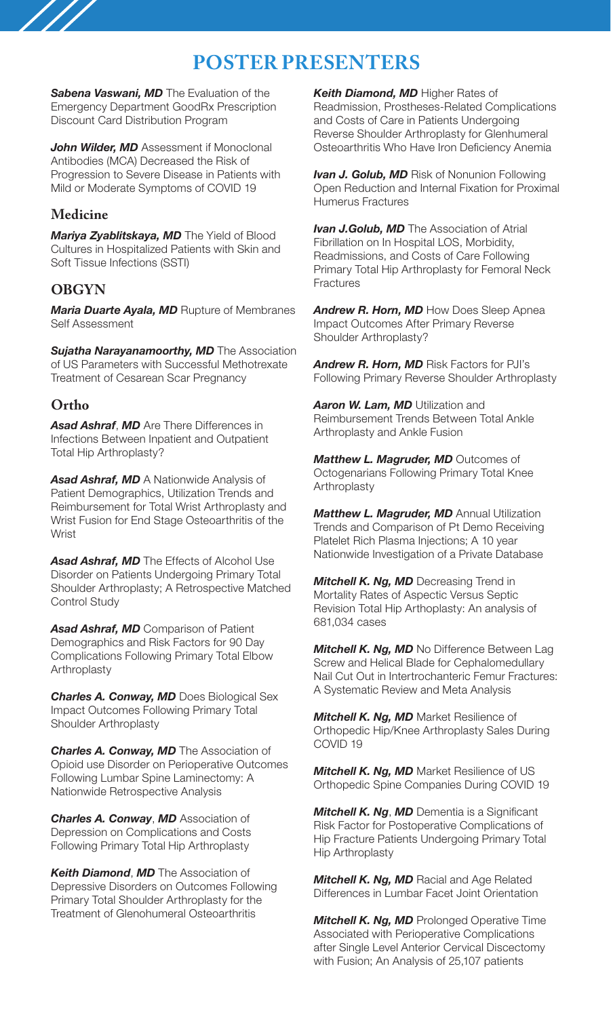# **POSTER PRESENTERS**

**Sabena Vaswani, MD** The Evaluation of the Emergency Department GoodRx Prescription Discount Card Distribution Program

*John Wilder, MD* Assessment if Monoclonal Antibodies (MCA) Decreased the Risk of Progression to Severe Disease in Patients with Mild or Moderate Symptoms of COVID 19

# **Medicine**

*Mariya Zyablitskaya, MD* The Yield of Blood Cultures in Hospitalized Patients with Skin and Soft Tissue Infections (SSTI)

# **OBGYN**

*Maria Duarte Ayala, MD* Rupture of Membranes Self Assessment

*Sujatha Narayanamoorthy, MD* The Association of US Parameters with Successful Methotrexate Treatment of Cesarean Scar Pregnancy

# **Ortho**

*Asad Ashraf*, *MD* Are There Differences in Infections Between Inpatient and Outpatient Total Hip Arthroplasty?

*Asad Ashraf, MD* A Nationwide Analysis of Patient Demographics, Utilization Trends and Reimbursement for Total Wrist Arthroplasty and Wrist Fusion for End Stage Osteoarthritis of the **Wrist** 

*Asad Ashraf, MD* The Effects of Alcohol Use Disorder on Patients Undergoing Primary Total Shoulder Arthroplasty; A Retrospective Matched Control Study

*Asad Ashraf, MD* Comparison of Patient Demographics and Risk Factors for 90 Day Complications Following Primary Total Elbow Arthroplasty

*Charles A. Conway, MD* Does Biological Sex Impact Outcomes Following Primary Total Shoulder Arthroplasty

*Charles A. Conway, MD* The Association of Opioid use Disorder on Perioperative Outcomes Following Lumbar Spine Laminectomy: A Nationwide Retrospective Analysis

*Charles A. Conway*, *MD* Association of Depression on Complications and Costs Following Primary Total Hip Arthroplasty

*Keith Diamond*, *MD* The Association of Depressive Disorders on Outcomes Following Primary Total Shoulder Arthroplasty for the Treatment of Glenohumeral Osteoarthritis

*Keith Diamond, MD* Higher Rates of Readmission, Prostheses-Related Complications and Costs of Care in Patients Undergoing Reverse Shoulder Arthroplasty for Glenhumeral Osteoarthritis Who Have Iron Deficiency Anemia

*Ivan J. Golub, MD* Risk of Nonunion Following Open Reduction and Internal Fixation for Proximal Humerus Fractures

*Ivan J.Golub, MD* The Association of Atrial Fibrillation on In Hospital LOS, Morbidity, Readmissions, and Costs of Care Following Primary Total Hip Arthroplasty for Femoral Neck Fractures

*Andrew R. Horn, MD* How Does Sleep Apnea Impact Outcomes After Primary Reverse Shoulder Arthroplasty?

*Andrew R. Horn, MD* Risk Factors for PJI's Following Primary Reverse Shoulder Arthroplasty

**Aaron W. Lam, MD** Utilization and Reimbursement Trends Between Total Ankle Arthroplasty and Ankle Fusion

*Matthew L. Magruder, MD* Outcomes of Octogenarians Following Primary Total Knee Arthroplasty

*Matthew L. Magruder, MD* Annual Utilization Trends and Comparison of Pt Demo Receiving Platelet Rich Plasma Injections; A 10 year Nationwide Investigation of a Private Database

*Mitchell K. Ng, MD* Decreasing Trend in Mortality Rates of Aspectic Versus Septic Revision Total Hip Arthoplasty: An analysis of 681,034 cases

*Mitchell K. Ng, MD* No Difference Between Lag Screw and Helical Blade for Cephalomedullary Nail Cut Out in Intertrochanteric Femur Fractures: A Systematic Review and Meta Analysis

*Mitchell K. Ng, MD* Market Resilience of Orthopedic Hip/Knee Arthroplasty Sales During COVID 19

*Mitchell K. Ng, MD* Market Resilience of US Orthopedic Spine Companies During COVID 19

*Mitchell K. Ng*, *MD* Dementia is a Significant Risk Factor for Postoperative Complications of Hip Fracture Patients Undergoing Primary Total Hip Arthroplasty

*Mitchell K. Ng, MD* Racial and Age Related Differences in Lumbar Facet Joint Orientation

*Mitchell K. Ng, MD* Prolonged Operative Time Associated with Perioperative Complications after Single Level Anterior Cervical Discectomy with Fusion; An Analysis of 25,107 patients